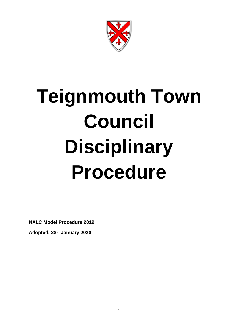

# **Teignmouth Town Council Disciplinary Procedure**

**NALC Model Procedure 2019**

**Adopted: 28th January 2020**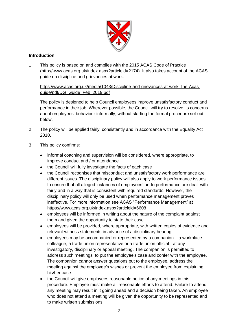

# **Introduction**

1 This policy is based on and complies with the 2015 ACAS Code of Practice [\(http://www.acas.org.uk/index.aspx?articleid=2174\)](http://www.acas.org.uk/index.aspx?articleid=2174). It also takes account of the ACAS guide on discipline and grievances at work.

[https://www.acas.org.uk/media/1043/Discipline-and-grievances-at-work-The-Acas](https://www.acas.org.uk/media/1043/Discipline-and-grievances-at-work-The-Acas-guide/pdf/DG_Guide_Feb_2019.pdf)[guide/pdf/DG\\_Guide\\_Feb\\_2019.pdf](https://www.acas.org.uk/media/1043/Discipline-and-grievances-at-work-The-Acas-guide/pdf/DG_Guide_Feb_2019.pdf)

The policy is designed to help Council employees improve unsatisfactory conduct and performance in their job. Wherever possible, the Council will try to resolve its concerns about employees' behaviour informally, without starting the formal procedure set out below.

- 2 The policy will be applied fairly, consistently and in accordance with the Equality Act 2010.
- 3 This policy confirms:
	- informal coaching and supervision will be considered, where appropriate, to improve conduct and / or attendance
	- the Council will fully investigate the facts of each case
	- the Council recognises that misconduct and unsatisfactory work performance are different issues. The disciplinary policy will also apply to work performance issues to ensure that all alleged instances of employees' underperformance are dealt with fairly and in a way that is consistent with required standards. However, the disciplinary policy will only be used when performance management proves ineffective. For more information see ACAS "Performance Management" at <https://www.acas.org.uk/index.aspx?articleid=6608>
	- employees will be informed in writing about the nature of the complaint against them and given the opportunity to state their case
	- employees will be provided, where appropriate, with written copies of evidence and relevant witness statements in advance of a disciplinary hearing
	- employees may be accompanied or represented by a companion a workplace colleague, a trade union representative or a trade union official - at any investigatory, disciplinary or appeal meeting. The companion is permitted to address such meetings, to put the employee's case and confer with the employee. The companion cannot answer questions put to the employee, address the meeting against the employee's wishes or prevent the employee from explaining his/her case
	- the Council will give employees reasonable notice of any meetings in this procedure. Employee must make all reasonable efforts to attend. Failure to attend any meeting may result in it going ahead and a decision being taken. An employee who does not attend a meeting will be given the opportunity to be represented and to make written submissions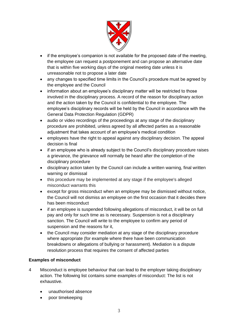

- if the employee's companion is not available for the proposed date of the meeting, the employee can request a postponement and can propose an alternative date that is within five working days of the original meeting date unless it is unreasonable not to propose a later date
- any changes to specified time limits in the Council's procedure must be agreed by the employee and the Council
- information about an employee's disciplinary matter will be restricted to those involved in the disciplinary process. A record of the reason for disciplinary action and the action taken by the Council is confidential to the employee. The employee's disciplinary records will be held by the Council in accordance with the General Data Protection Regulation (GDPR)
- audio or video recordings of the proceedings at any stage of the disciplinary procedure are prohibited, unless agreed by all affected parties as a reasonable adjustment that takes account of an employee's medical condition
- employees have the right to appeal against any disciplinary decision. The appeal decision is final
- if an employee who is already subject to the Council's disciplinary procedure raises a grievance, the grievance will normally be heard after the completion of the disciplinary procedure
- disciplinary action taken by the Council can include a written warning, final written warning or dismissal
- this procedure may be implemented at any stage if the employee's alleged misconduct warrants this
- except for gross misconduct when an employee may be dismissed without notice, the Council will not dismiss an employee on the first occasion that it decides there has been misconduct
- if an employee is suspended following allegations of misconduct, it will be on full pay and only for such time as is necessary. Suspension is not a disciplinary sanction. The Council will write to the employee to confirm any period of suspension and the reasons for it,
- the Council may consider mediation at any stage of the disciplinary procedure where appropriate (for example where there have been communication breakdowns or allegations of bullying or harassment). Mediation is a dispute resolution process that requires the consent of affected parties

# **Examples of misconduct**

- 4 Misconduct is employee behaviour that can lead to the employer taking disciplinary action. The following list contains some examples of misconduct: The list is not exhaustive.
	- unauthorised absence
	- poor timekeeping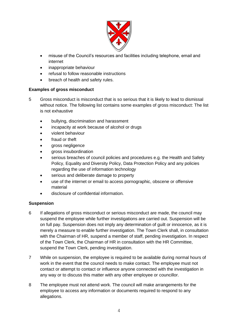

- misuse of the Council's resources and facilities including telephone, email and internet
- inappropriate behaviour
- refusal to follow reasonable instructions
- breach of health and safety rules.

# **Examples of gross misconduct**

- 5 Gross misconduct is misconduct that is so serious that it is likely to lead to dismissal without notice. The following list contains some examples of gross misconduct: The list is not exhaustive
	- bullying, discrimination and harassment
	- incapacity at work because of alcohol or drugs
	- violent behaviour
	- fraud or theft
	- gross negligence
	- gross insubordination
	- serious breaches of council policies and procedures e.g. the Health and Safety Policy, Equality and Diversity Policy, Data Protection Policy and any policies regarding the use of information technology
	- serious and deliberate damage to property
	- use of the internet or email to access pornographic, obscene or offensive material
	- disclosure of confidential information.

# **Suspension**

- 6 If allegations of gross misconduct or serious misconduct are made, the council may suspend the employee while further investigations are carried out. Suspension will be on full pay. Suspension does not imply any determination of guilt or innocence, as it is merely a measure to enable further investigation. The Town Clerk shall, in consultation with the Chairman of HR, suspend a member of staff, pending investigation. In respect of the Town Clerk, the Chairman of HR in consultation with the HR Committee, suspend the Town Clerk, pending investigation.
- 7 While on suspension, the employee is required to be available during normal hours of work in the event that the council needs to make contact. The employee must not contact or attempt to contact or influence anyone connected with the investigation in any way or to discuss this matter with any other employee or councillor.
- 8 The employee must not attend work. The council will make arrangements for the employee to access any information or documents required to respond to any allegations.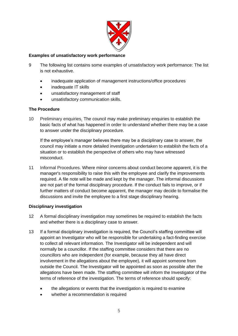

# **Examples of unsatisfactory work performance**

- 9 The following list contains some examples of unsatisfactory work performance: The list is not exhaustive.
	- inadequate application of management instructions/office procedures
	- inadequate IT skills
	- unsatisfactory management of staff
	- unsatisfactory communication skills.

# **The Procedure**

10 Preliminary enquiries*.* The council may make preliminary enquiries to establish the basic facts of what has happened in order to understand whether there may be a case to answer under the disciplinary procedure.

If the employee's manager believes there may be a disciplinary case to answer, the council may initiate a more detailed investigation undertaken to establish the facts of a situation or to establish the perspective of others who may have witnessed misconduct.

11 Informal Procedures. Where minor concerns about conduct become apparent, it is the manager's responsibility to raise this with the employee and clarify the improvements required. A file note will be made and kept by the manager. The informal discussions are not part of the formal disciplinary procedure. If the conduct fails to improve, or if further matters of conduct become apparent, the manager may decide to formalise the discussions and invite the employee to a first stage disciplinary hearing.

# **Disciplinary investigation**

- 12 A formal disciplinary investigation may sometimes be required to establish the facts and whether there is a disciplinary case to answer.
- 13 If a formal disciplinary investigation is required, the Council's staffing committee will appoint an Investigator who will be responsible for undertaking a fact-finding exercise to collect all relevant information. The Investigator will be independent and will normally be a councillor. If the staffing committee considers that there are no councillors who are independent (for example, because they all have direct involvement in the allegations about the employee), it will appoint someone from outside the Council. The Investigator will be appointed as soon as possible after the allegations have been made. The staffing committee will inform the Investigator of the terms of reference of the investigation. The terms of reference should specify:
	- the allegations or events that the investigation is required to examine
	- whether a recommendation is required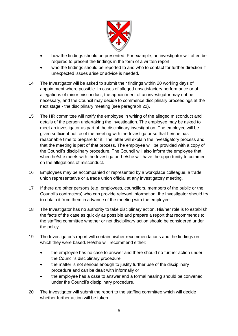

- how the findings should be presented. For example, an investigator will often be required to present the findings in the form of a written report
- who the findings should be reported to and who to contact for further direction if unexpected issues arise or advice is needed.
- 14 The Investigator will be asked to submit their findings within 20 working days of appointment where possible. In cases of alleged unsatisfactory performance or of allegations of minor misconduct, the appointment of an investigator may not be necessary, and the Council may decide to commence disciplinary proceedings at the next stage - the disciplinary meeting (see paragraph 22).
- 15 The HR committee will notify the employee in writing of the alleged misconduct and details of the person undertaking the investigation. The employee may be asked to meet an investigator as part of the disciplinary investigation. The employee will be given sufficient notice of the meeting with the Investigator so that he/she has reasonable time to prepare for it. The letter will explain the investigatory process and that the meeting is part of that process. The employee will be provided with a copy of the Council's disciplinary procedure. The Council will also inform the employee that when he/she meets with the Investigator, he/she will have the opportunity to comment on the allegations of misconduct.
- 16 Employees may be accompanied or represented by a workplace colleague, a trade union representative or a trade union official at any investigatory meeting.
- 17 If there are other persons (e.g. employees, councillors, members of the public or the Council's contractors) who can provide relevant information, the Investigator should try to obtain it from them in advance of the meeting with the employee.
- 18 The Investigator has no authority to take disciplinary action. His/her role is to establish the facts of the case as quickly as possible and prepare a report that recommends to the staffing committee whether or not disciplinary action should be considered under the policy.
- 19 The Investigator's report will contain his/her recommendations and the findings on which they were based. He/she will recommend either:
	- the employee has no case to answer and there should no further action under the Council's disciplinary procedure
	- the matter is not serious enough to justify further use of the disciplinary procedure and can be dealt with informally or
	- the employee has a case to answer and a formal hearing should be convened under the Council's disciplinary procedure.
- 20 The Investigator will submit the report to the staffing committee which will decide whether further action will be taken.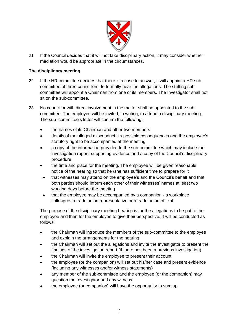

21 If the Council decides that it will not take disciplinary action, it may consider whether mediation would be appropriate in the circumstances.

# **The disciplinary meeting**

- 22 If the HR committee decides that there is a case to answer, it will appoint a HR subcommittee of three councillors, to formally hear the allegations. The staffing subcommittee will appoint a Chairman from one of its members. The Investigator shall not sit on the sub-committee.
- 23 No councillor with direct involvement in the matter shall be appointed to the subcommittee. The employee will be invited, in writing, to attend a disciplinary meeting. The sub–committee's letter will confirm the following:
	- the names of its Chairman and other two members
	- details of the alleged misconduct, its possible consequences and the employee's statutory right to be accompanied at the meeting
	- a copy of the information provided to the sub-committee which may include the investigation report, supporting evidence and a copy of the Council's disciplinary procedure
	- the time and place for the meeting. The employee will be given reasonable notice of the hearing so that he /she has sufficient time to prepare for it
	- that witnesses may attend on the employee's and the Council's behalf and that both parties should inform each other of their witnesses' names at least two working days before the meeting
	- that the employee may be accompanied by a companion a workplace colleague, a trade union representative or a trade union official

The purpose of the disciplinary meeting hearing is for the allegations to be put to the employee and then for the employee to give their perspective. It will be conducted as follows:

- the Chairman will introduce the members of the sub-committee to the employee and explain the arrangements for the hearing
- the Chairman will set out the allegations and invite the Investigator to present the findings of the investigation report (if there has been a previous investigation)
- the Chairman will invite the employee to present their account
- the employee (or the companion) will set out his/her case and present evidence (including any witnesses and/or witness statements)
- any member of the sub-committee and the employee (or the companion) may question the Investigator and any witness
- the employee (or companion) will have the opportunity to sum up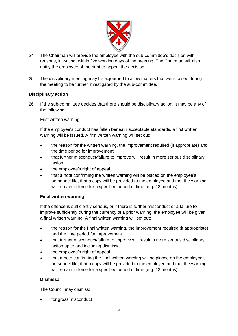

- 24 The Chairman will provide the employee with the sub-committee's decision with reasons, in writing, within five working days of the meeting. The Chairman will also notify the employee of the right to appeal the decision.
- 25 The disciplinary meeting may be adjourned to allow matters that were raised during the meeting to be further investigated by the sub-committee.

### **Disciplinary action**

26 If the sub-committee decides that there should be disciplinary action, it may be any of the following:

### First written warning

If the employee's conduct has fallen beneath acceptable standards, a first written warning will be issued. A first written warning will set out:

- the reason for the written warning, the improvement required (if appropriate) and the time period for improvement
- that further misconduct/failure to improve will result in more serious disciplinary action
- the employee's right of appeal
- that a note confirming the written warning will be placed on the employee's personnel file, that a copy will be provided to the employee and that the warning will remain in force for a specified period of time (e.g. 12 months).

### **Final written warning**

If the offence is sufficiently serious, or if there is further misconduct or a failure to improve sufficiently during the currency of a prior warning, the employee will be given a final written warning. A final written warning will set out:

- the reason for the final written warning, the improvement required (if appropriate) and the time period for improvement
- that further misconduct/failure to improve will result in more serious disciplinary action up to and including dismissal
- the employee's right of appeal
- that a note confirming the final written warning will be placed on the employee's personnel file, that a copy will be provided to the employee and that the warning will remain in force for a specified period of time (e.g. 12 months).

### **Dismissal**

The Council may dismiss:

for gross misconduct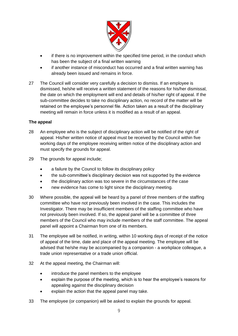

- if there is no improvement within the specified time period, in the conduct which has been the subject of a final written warning
- if another instance of misconduct has occurred and a final written warning has already been issued and remains in force.
- 27 The Council will consider very carefully a decision to dismiss. If an employee is dismissed, he/she will receive a written statement of the reasons for his/her dismissal, the date on which the employment will end and details of his/her right of appeal. If the sub-committee decides to take no disciplinary action, no record of the matter will be retained on the employee's personnel file. Action taken as a result of the disciplinary meeting will remain in force unless it is modified as a result of an appeal.

# **The appeal**

- 28 An employee who is the subject of disciplinary action will be notified of the right of appeal. His/her written notice of appeal must be received by the Council within five working days of the employee receiving written notice of the disciplinary action and must specify the grounds for appeal.
- 29 The grounds for appeal include;
	- a failure by the Council to follow its disciplinary policy
	- the sub-committee's disciplinary decision was not supported by the evidence
	- the disciplinary action was too severe in the circumstances of the case
	- new evidence has come to light since the disciplinary meeting.
- 30 Where possible, the appeal will be heard by a panel of three members of the staffing committee who have not previously been involved in the case. This includes the Investigator. There may be insufficient members of the staffing committee who have not previously been involved. If so, the appeal panel will be a committee of three members of the Council who may include members of the staff committee. The appeal panel will appoint a Chairman from one of its members.
- 31 The employee will be notified, in writing, within 10 working days of receipt of the notice of appeal of the time, date and place of the appeal meeting. The employee will be advised that he/she may be accompanied by a companion - a workplace colleague, a trade union representative or a trade union official.
- 32 At the appeal meeting, the Chairman will:
	- introduce the panel members to the employee
	- explain the purpose of the meeting, which is to hear the employee's reasons for appealing against the disciplinary decision
	- explain the action that the appeal panel may take.
- 33 The employee (or companion) will be asked to explain the grounds for appeal.